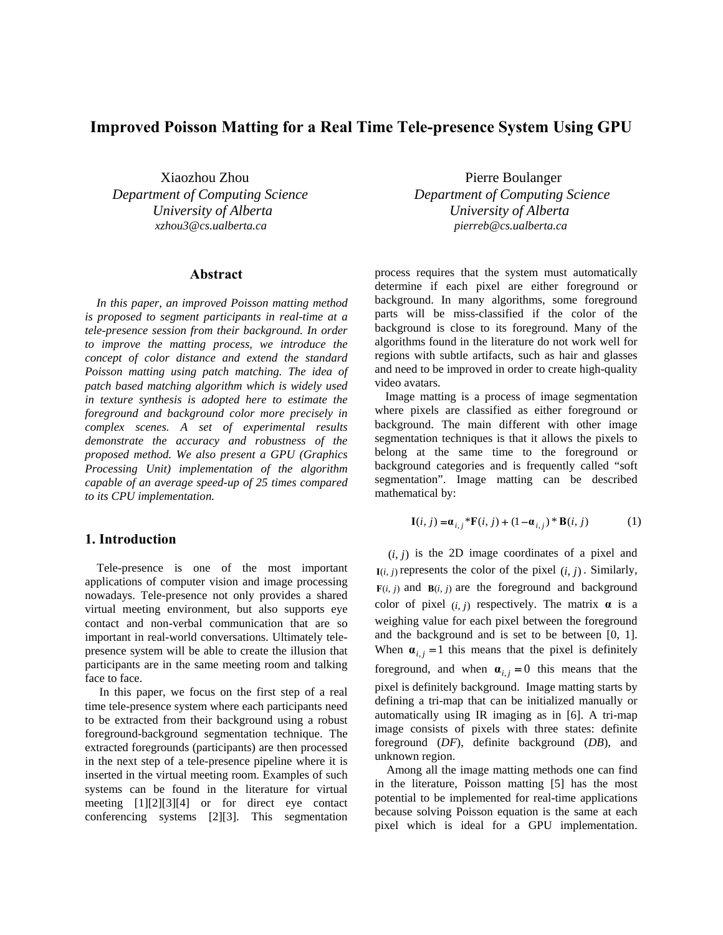# **Improved Poisson Matting for a Real Time Tele-presence System Using GPU**

Xiaozhou Zhou Pierre Boulanger

### **Abstract**

*In this paper, an improved Poisson matting method is proposed to segment participants in real-time at a tele-presence session from their background. In order to improve the matting process, we introduce the concept of color distance and extend the standard Poisson matting using patch matching. The idea of patch based matching algorithm which is widely used in texture synthesis is adopted here to estimate the foreground and background color more precisely in complex scenes. A set of experimental results demonstrate the accuracy and robustness of the proposed method. We also present a GPU (Graphics Processing Unit) implementation of the algorithm capable of an average speed-up of 25 times compared to its CPU implementation.* 

## **1. Introduction**

 Tele-presence is one of the most important applications of computer vision and image processing nowadays. Tele-presence not only provides a shared virtual meeting environment, but also supports eye contact and non-verbal communication that are so important in real-world conversations. Ultimately telepresence system will be able to create the illusion that participants are in the same meeting room and talking face to face.

In this paper, we focus on the first step of a real time tele-presence system where each participants need to be extracted from their background using a robust foreground-background segmentation technique. The extracted foregrounds (participants) are then processed in the next step of a tele-presence pipeline where it is inserted in the virtual meeting room. Examples of such systems can be found in the literature for virtual meeting [1][2][3][4] or for direct eye contact conferencing systems [2][3]. This segmentation

*Department of Computing Science Department of Computing Science University of Alberta University of Alberta xzhou3@cs.ualberta.ca pierreb@cs.ualberta.ca* 

> process requires that the system must automatically determine if each pixel are either foreground or background. In many algorithms, some foreground parts will be miss-classified if the color of the background is close to its foreground. Many of the algorithms found in the literature do not work well for regions with subtle artifacts, such as hair and glasses and need to be improved in order to create high-quality video avatars.

> Image matting is a process of image segmentation where pixels are classified as either foreground or background. The main different with other image segmentation techniques is that it allows the pixels to belong at the same time to the foreground or background categories and is frequently called "soft segmentation". Image matting can be described mathematical by:

$$
\mathbf{I}(i,j) = \mathbf{a}_{i,j} * \mathbf{F}(i,j) + (1 - \mathbf{a}_{i,j}) * \mathbf{B}(i,j)
$$
(1)

 $(i, j)$  is the 2D image coordinates of a pixel and  $I(i, j)$  represents the color of the pixel  $(i, j)$ . Similarly,  $F(i, j)$  and  $B(i, j)$  are the foreground and background color of pixel  $(i, j)$  respectively. The matrix  $\alpha$  is a weighing value for each pixel between the foreground and the background and is set to be between [0, 1]. When  $\mathbf{a}_{i,j} = 1$  this means that the pixel is definitely foreground, and when  $\mathbf{a}_{i,j} = 0$  this means that the pixel is definitely background. Image matting starts by defining a tri-map that can be initialized manually or automatically using IR imaging as in [6]. A tri-map image consists of pixels with three states: definite foreground (*DF*), definite background (*DB*), and unknown region.

 Among all the image matting methods one can find in the literature, Poisson matting [5] has the most potential to be implemented for real-time applications because solving Poisson equation is the same at each pixel which is ideal for a GPU implementation.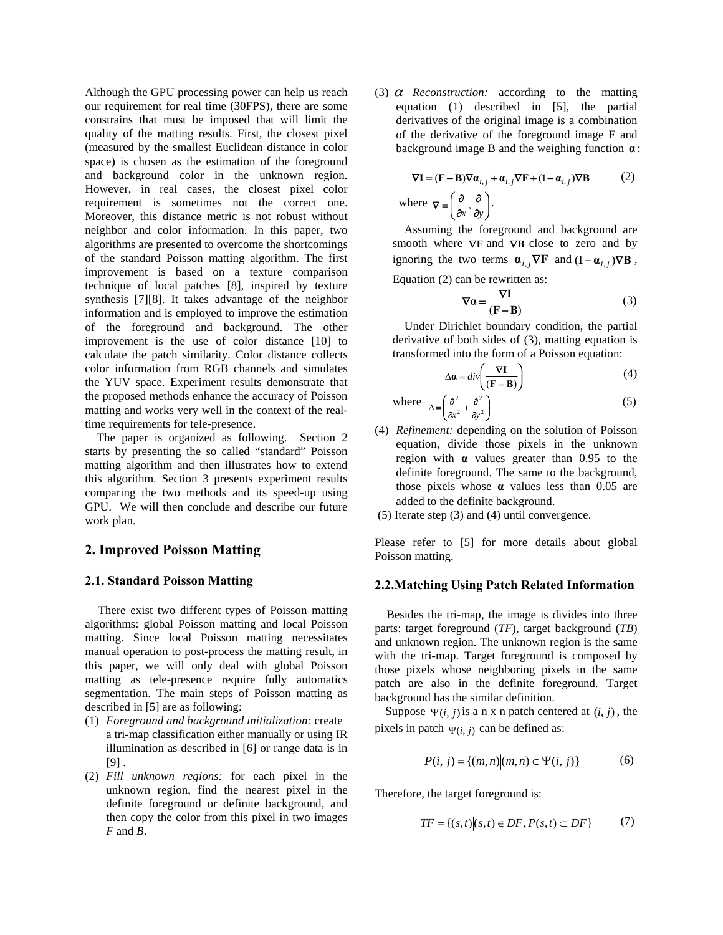Although the GPU processing power can help us reach our requirement for real time (30FPS), there are some constrains that must be imposed that will limit the quality of the matting results. First, the closest pixel (measured by the smallest Euclidean distance in color space) is chosen as the estimation of the foreground and background color in the unknown region. However, in real cases, the closest pixel color requirement is sometimes not the correct one. Moreover, this distance metric is not robust without neighbor and color information. In this paper, two algorithms are presented to overcome the shortcomings of the standard Poisson matting algorithm. The first improvement is based on a texture comparison technique of local patches [8], inspired by texture synthesis [7][8]. It takes advantage of the neighbor information and is employed to improve the estimation of the foreground and background. The other improvement is the use of color distance [10] to calculate the patch similarity. Color distance collects color information from RGB channels and simulates the YUV space. Experiment results demonstrate that the proposed methods enhance the accuracy of Poisson matting and works very well in the context of the realtime requirements for tele-presence.

 The paper is organized as following. Section 2 starts by presenting the so called "standard" Poisson matting algorithm and then illustrates how to extend this algorithm. Section 3 presents experiment results comparing the two methods and its speed-up using GPU. We will then conclude and describe our future work plan.

## **2. Improved Poisson Matting**

#### **2.1. Standard Poisson Matting**

There exist two different types of Poisson matting algorithms: global Poisson matting and local Poisson matting. Since local Poisson matting necessitates manual operation to post-process the matting result, in this paper, we will only deal with global Poisson matting as tele-presence require fully automatics segmentation. The main steps of Poisson matting as described in [5] are as following:

- (1) *Foreground and background initialization:* create a tri-map classification either manually or using IR illumination as described in [6] or range data is in  $[9]$ .
- (2) *Fill unknown regions:* for each pixel in the unknown region, find the nearest pixel in the definite foreground or definite background, and then copy the color from this pixel in two images *F* and *B*.

(3) <sup>α</sup> *Reconstruction:* according to the matting equation (1) described in [5], the partial derivatives of the original image is a combination of the derivative of the foreground image F and background image B and the weighing function **α** :

$$
\nabla \mathbf{I} = (\mathbf{F} - \mathbf{B}) \nabla \mathbf{\alpha}_{i,j} + \mathbf{\alpha}_{i,j} \nabla \mathbf{F} + (1 - \mathbf{\alpha}_{i,j}) \nabla \mathbf{B}
$$
(2)  
where  $\nabla = \left(\frac{\partial}{\partial x}, \frac{\partial}{\partial y}\right)$ .

 Assuming the foreground and background are smooth where  $\nabla$ **F** and  $\nabla$ **B** close to zero and by ignoring the two terms  $\mathbf{a}_{i,j} \nabla \mathbf{F}$  and  $(1 - \mathbf{a}_{i,j}) \nabla \mathbf{B}$ , Equation (2) can be rewritten as:

$$
\nabla a = \frac{\nabla I}{(F - B)}\tag{3}
$$

 Under Dirichlet boundary condition, the partial derivative of both sides of (3), matting equation is transformed into the form of a Poisson equation:

$$
\Delta \mathbf{a} = \text{div}\left(\frac{\nabla \mathbf{I}}{(\mathbf{F} - \mathbf{B})}\right) \tag{4}
$$

where 
$$
\Delta = \left(\frac{\partial^2}{\partial x^2} + \frac{\partial^2}{\partial y^2}\right)
$$
 (5)

- (4) *Refinement:* depending on the solution of Poisson equation, divide those pixels in the unknown region with **α** values greater than 0.95 to the definite foreground. The same to the background, those pixels whose **α** values less than 0.05 are added to the definite background.
- (5) Iterate step (3) and (4) until convergence.

Please refer to [5] for more details about global Poisson matting.

## **2.2.Matching Using Patch Related Information**

 Besides the tri-map, the image is divides into three parts: target foreground (*TF*), target background (*TB*) and unknown region. The unknown region is the same with the tri-map. Target foreground is composed by those pixels whose neighboring pixels in the same patch are also in the definite foreground. Target background has the similar definition.

Suppose  $\Psi(i, j)$  is a n x n patch centered at  $(i, j)$ , the pixels in patch  $\Psi(i, j)$  can be defined as:

$$
P(i, j) = \{(m, n) | (m, n) \in \Psi(i, j)\}\tag{6}
$$

Therefore, the target foreground is:

$$
TF = \{(s,t) | (s,t) \in DF, P(s,t) \subset DF\}
$$
 (7)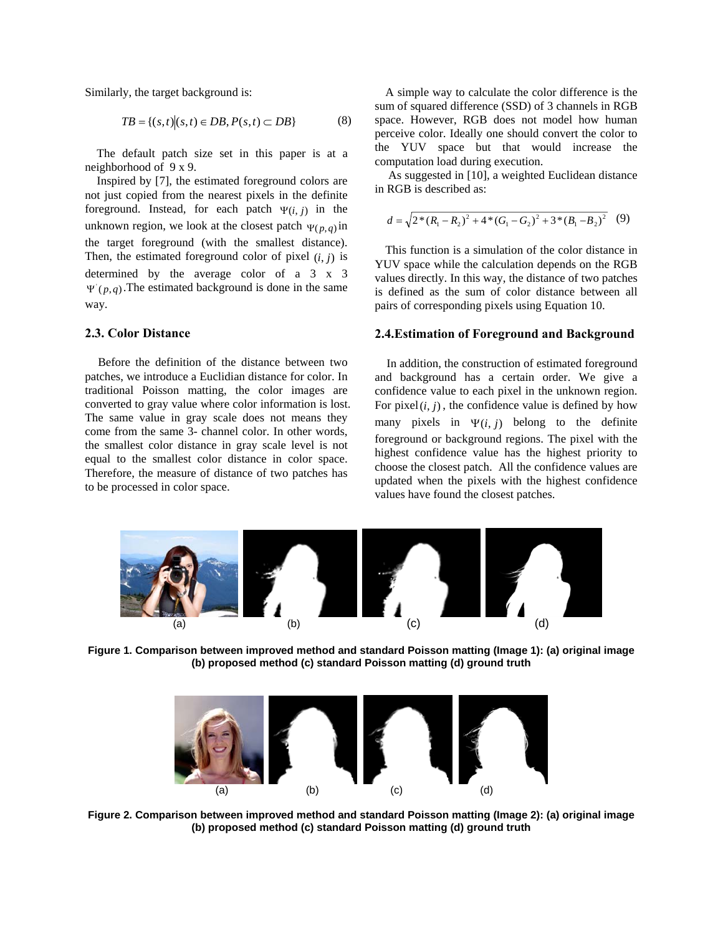$$
TB = \{(s,t) | (s,t) \in DB, P(s,t) \subset DB\}
$$
 (8)

The default patch size set in this paper is at a

Inspired by [7], the estimated foreground colors are not just copied from the nearest pixels in the definite foreground. Instead, for each patch  $\Psi(i, j)$  in the unknown region, we look at the closest patch  $\Psi(p,q)$  in the target foreground (with the smallest distance). Then, the estimated foreground color of pixel  $(i, j)$  is determined by the average color of a 3 x 3  $\Psi(p,q)$ . The estimated background is done in the same way.

Before the definition of the distance between two patches, we introduce a Euclidian distance for color. In traditional Poisson matting, the color images are converted to gray value where color information is lost. The same value in gray scale does not means they come from the same 3- channel color. In other words, the smallest color distance in gray scale level is not equal to the smallest color distance in color space. Therefore, the measure of distance of two patches has to be processed in color space.

Similarly, the target background is: A simple way to calculate the color difference is the sum of squared difference (SSD) of 3 channels in RGB space. However, RGB does not model how human perceive color. Ideally one should convert the color to the YUV space but that would increase the computation load during execution.

neighborhood of 9 x 9.<br>
Inspired by [7], the estimated foreground colors are<br>
and integrated in [10], a weighted Euclidean distance<br>
in RGB is described as:

$$
d = \sqrt{2*(R_1 - R_2)^2 + 4*(G_1 - G_2)^2 + 3*(B_1 - B_2)^2}
$$
 (9)

This function is a simulation of the color distance in YUV space while the calculation depends on the RGB values directly. In this way, the distance of two patches is defined as the sum of color distance between all pairs of corresponding pixels using Equation 10.

## **2.3. Color Distance 2.4.Estimation of Foreground and Background**

 In addition, the construction of estimated foreground and background has a certain order. We give a confidence value to each pixel in the unknown region. For pixel  $(i, j)$ , the confidence value is defined by how many pixels in  $\Psi(i, j)$  belong to the definite foreground or background regions. The pixel with the highest confidence value has the highest priority to choose the closest patch. All the confidence values are updated when the pixels with the highest confidence values have found the closest patches.



**Figure 1. Comparison between improved method and standard Poisson matting (Image 1): (a) original image (b) proposed method (c) standard Poisson matting (d) ground truth** 



**Figure 2. Comparison between improved method and standard Poisson matting (Image 2): (a) original image (b) proposed method (c) standard Poisson matting (d) ground truth**